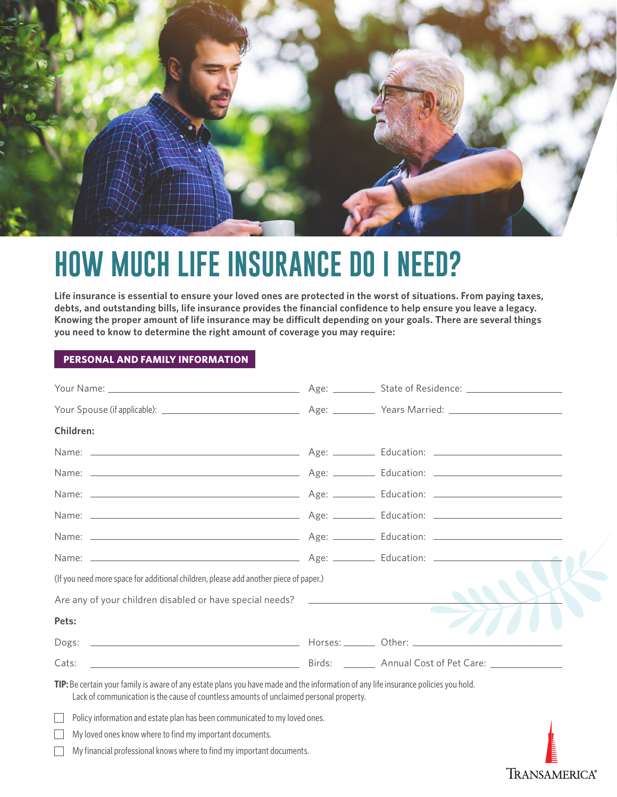

# **HOW MUCH LIFE INSURANCE DO I NEED?**

**Life insurance is essential to ensure your loved ones are protected in the worst of situations. From paying taxes, debts, and outstanding bills, life insurance provides the financial confidence to help ensure you leave a legacy. Knowing the proper amount of life insurance may be difficult depending on your goals. There are several things you need to know to determine the right amount of coverage you may require:**

### **PERSONAL AND FAMILY INFORMATION**

| Children:                                                                                                                                                                                                                      |                  |
|--------------------------------------------------------------------------------------------------------------------------------------------------------------------------------------------------------------------------------|------------------|
|                                                                                                                                                                                                                                |                  |
|                                                                                                                                                                                                                                |                  |
|                                                                                                                                                                                                                                |                  |
|                                                                                                                                                                                                                                |                  |
|                                                                                                                                                                                                                                |                  |
|                                                                                                                                                                                                                                |                  |
| (If you need more space for additional children, please add another piece of paper.)                                                                                                                                           |                  |
| Are any of your children disabled or have special needs?                                                                                                                                                                       |                  |
| Pets:                                                                                                                                                                                                                          |                  |
|                                                                                                                                                                                                                                |                  |
| Example 2014 Birds: 2014 Annual Cost of Pet Care:<br>Cats:                                                                                                                                                                     |                  |
| TIP: Be certain your family is aware of any estate plans you have made and the information of any life insurance policies you hold.<br>Lack of communication is the cause of countless amounts of unclaimed personal property. |                  |
| Policy information and estate plan has been communicated to my loved ones.                                                                                                                                                     |                  |
| My loved ones know where to find my important documents.<br>My financial professional knows where to find my important documents.                                                                                              | <b>FOR ALICE</b> |
|                                                                                                                                                                                                                                | Transamerica     |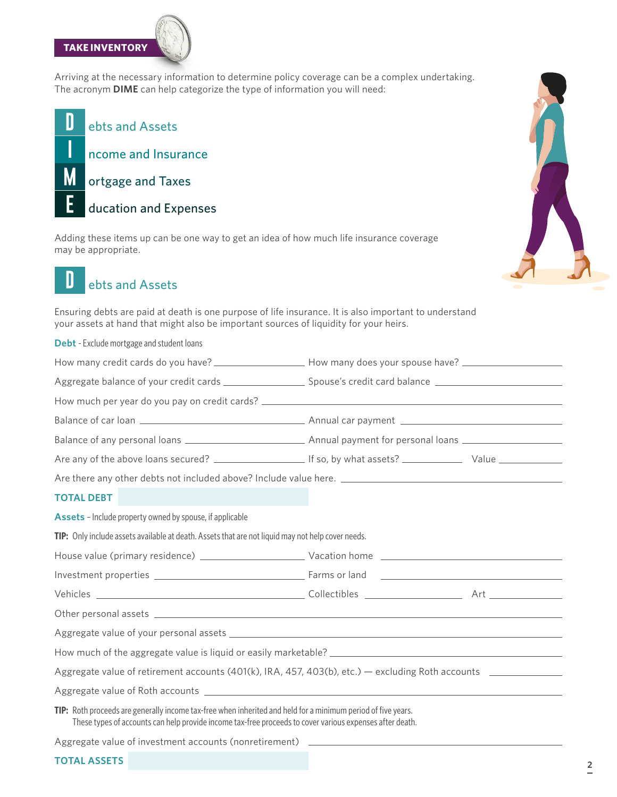## **TAKE INVENTORY**



Arriving at the necessary information to determine policy coverage can be a complex undertaking. The acronym **DIME** can help categorize the type of information you will need:

D ebts and Assets Π ncome and Insurance M ortgage and Taxes Ē ducation and Expenses

Adding these items up can be one way to get an idea of how much life insurance coverage may be appropriate.



### D ebts and Assets

Ensuring debts are paid at death is one purpose of life insurance. It is also important to understand your assets at hand that might also be important sources of liquidity for your heirs.

**Debt** - Exclude mortgage and student loans

| Aggregate balance of your credit cards ________________________ Spouse's credit card balance _________________                                                                                                           |  |  |
|--------------------------------------------------------------------------------------------------------------------------------------------------------------------------------------------------------------------------|--|--|
|                                                                                                                                                                                                                          |  |  |
|                                                                                                                                                                                                                          |  |  |
|                                                                                                                                                                                                                          |  |  |
|                                                                                                                                                                                                                          |  |  |
| Are there any other debts not included above? Include value here. __________________________________                                                                                                                     |  |  |
| <b>TOTAL DEBT</b>                                                                                                                                                                                                        |  |  |
| Assets - Include property owned by spouse, if applicable                                                                                                                                                                 |  |  |
| TIP: Only include assets available at death. Assets that are not liquid may not help cover needs.                                                                                                                        |  |  |
|                                                                                                                                                                                                                          |  |  |
|                                                                                                                                                                                                                          |  |  |
|                                                                                                                                                                                                                          |  |  |
|                                                                                                                                                                                                                          |  |  |
|                                                                                                                                                                                                                          |  |  |
| How much of the aggregate value is liquid or easily marketable?                                                                                                                                                          |  |  |
| Aggregate value of retirement accounts (401(k), IRA, 457, 403(b), etc.) — excluding Roth accounts ____________                                                                                                           |  |  |
|                                                                                                                                                                                                                          |  |  |
| TIP: Roth proceeds are generally income tax-free when inherited and held for a minimum period of five years.<br>These types of accounts can help provide income tax-free proceeds to cover various expenses after death. |  |  |
| Aggregate value of investment accounts (nonretirement) _________________________                                                                                                                                         |  |  |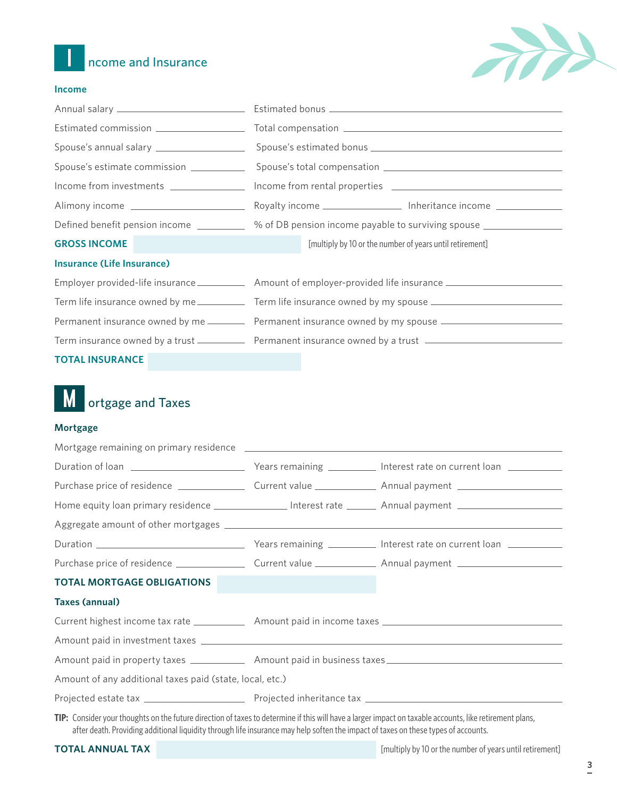



#### **Income**

|                                         | Spouse's annual salary ___________________________________Spouse's estimated bonus ___________________________ |  |
|-----------------------------------------|----------------------------------------------------------------------------------------------------------------|--|
| Spouse's estimate commission __________ |                                                                                                                |  |
|                                         | Income from investments ___________________ Income from rental properties __________________________           |  |
|                                         | Royalty income _______________________ Inheritance income ______________________                               |  |
|                                         | Defined benefit pension income ____________ % of DB pension income payable to surviving spouse ______________  |  |
| <b>GROSS INCOME</b>                     | [multiply by 10 or the number of years until retirement]<br><b>CONTRACTOR</b>                                  |  |
| <b>Insurance (Life Insurance)</b>       |                                                                                                                |  |
|                                         | Employer provided-life insurance _______________ Amount of employer-provided life insurance __________________ |  |
|                                         | Term life insurance owned by me ______________ Term life insurance owned by my spouse ________________________ |  |
|                                         | Permanent insurance owned by me ___________ Permanent insurance owned by my spouse _________________           |  |
|                                         | Term insurance owned by a trust ________________ Permanent insurance owned by a trust ________________________ |  |
|                                         |                                                                                                                |  |

**TOTAL INSURANCE**

#### M ortgage and Taxes

#### **Mortgage**

| Home equity loan primary residence ___________________ Interest rate _________ Annual payment ________________ |  |  |  |
|----------------------------------------------------------------------------------------------------------------|--|--|--|
|                                                                                                                |  |  |  |
|                                                                                                                |  |  |  |
|                                                                                                                |  |  |  |
| <b>TOTAL MORTGAGE OBLIGATIONS</b>                                                                              |  |  |  |
| <b>Taxes (annual)</b>                                                                                          |  |  |  |
| Current highest income tax rate _______________ Amount paid in income taxes ________________________           |  |  |  |
|                                                                                                                |  |  |  |
|                                                                                                                |  |  |  |
| Amount of any additional taxes paid (state, local, etc.)                                                       |  |  |  |
|                                                                                                                |  |  |  |
|                                                                                                                |  |  |  |

**TIP:** Consider your thoughts on the future direction of taxes to determine if this will have a larger impact on taxable accounts, like retirement plans, after death. Providing additional liquidity through life insurance may help soften the impact of taxes on these types of accounts.

| <b>TOTAL ANNUAL TAX</b> |  |  |  |
|-------------------------|--|--|--|
|                         |  |  |  |

[multiply by 10 or the number of years until retirement]